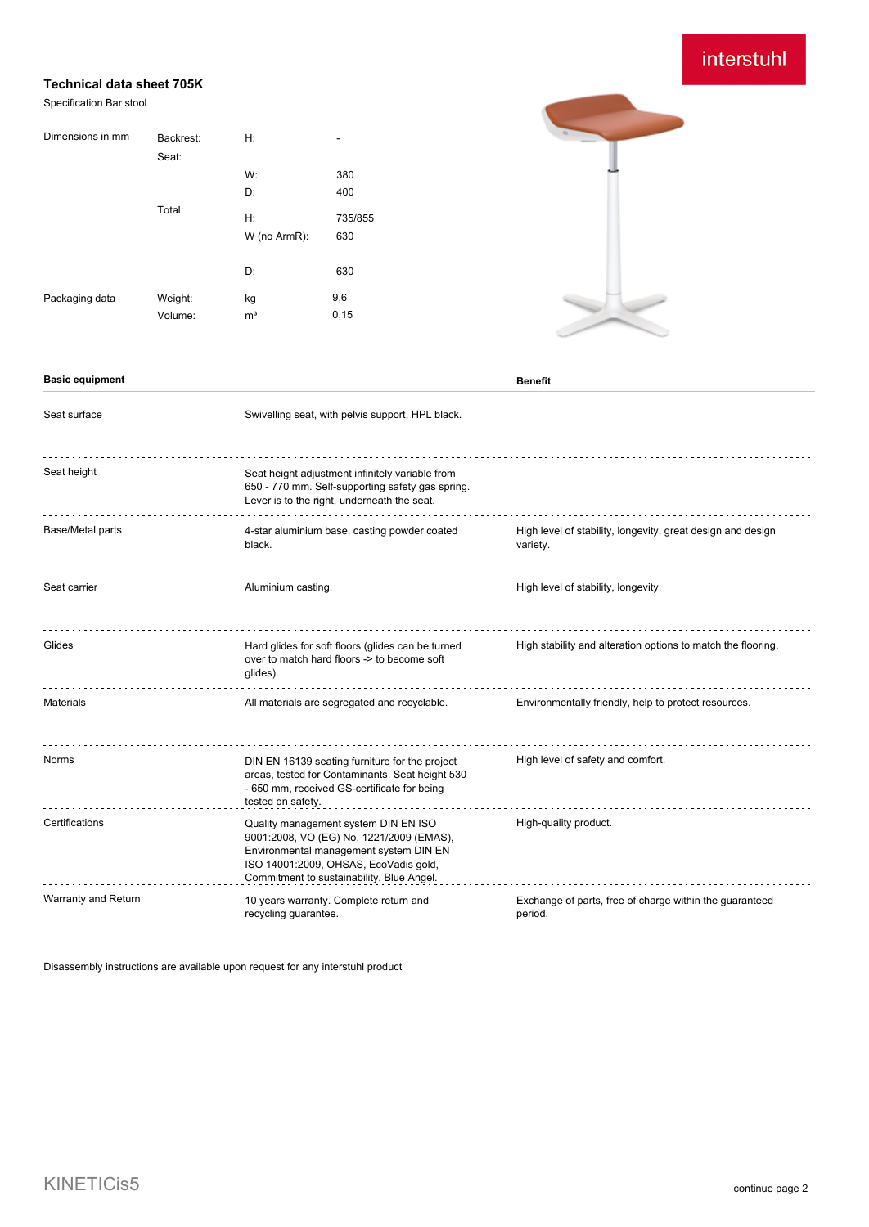# interstuhl

### **Technical data sheet 705K**

### Specification Bar stool

| Dimensions in mm | Backrest:<br>Seat: | H:             | $\overline{\phantom{a}}$ |
|------------------|--------------------|----------------|--------------------------|
|                  | Total:             | W:             | 380                      |
|                  |                    | D:             | 400                      |
|                  |                    | H:             | 735/855                  |
|                  |                    | W (no ArmR):   | 630                      |
|                  |                    | D:             | 630                      |
| Packaging data   | Weight:            | kg             | 9,6                      |
|                  | Volume:            | m <sup>3</sup> | 0,15                     |



### **Basic equipment Benefit**

| Seat surface        | Swivelling seat, with pelvis support, HPL black.                                                                                                                                                                 |                                                                         |
|---------------------|------------------------------------------------------------------------------------------------------------------------------------------------------------------------------------------------------------------|-------------------------------------------------------------------------|
| Seat height         | Seat height adjustment infinitely variable from<br>650 - 770 mm. Self-supporting safety gas spring.<br>Lever is to the right, underneath the seat.                                                               |                                                                         |
| Base/Metal parts    | 4-star aluminium base, casting powder coated<br>black.                                                                                                                                                           | High level of stability, longevity, great design and design<br>variety. |
| Seat carrier        | Aluminium casting.                                                                                                                                                                                               | High level of stability, longevity.                                     |
| Glides              | Hard glides for soft floors (glides can be turned<br>over to match hard floors -> to become soft<br>glides).                                                                                                     | High stability and alteration options to match the flooring.            |
| <b>Materials</b>    | All materials are segregated and recyclable.                                                                                                                                                                     | Environmentally friendly, help to protect resources.                    |
| Norms               | DIN EN 16139 seating furniture for the project<br>areas, tested for Contaminants. Seat height 530<br>- 650 mm, received GS-certificate for being<br>tested on safety.                                            | High level of safety and comfort.                                       |
| Certifications      | Quality management system DIN EN ISO<br>9001:2008, VO (EG) No. 1221/2009 (EMAS),<br>Environmental management system DIN EN<br>ISO 14001:2009, OHSAS, EcoVadis gold,<br>Commitment to sustainability. Blue Angel. | High-quality product.                                                   |
| Warranty and Return | 10 years warranty. Complete return and<br>recycling guarantee.                                                                                                                                                   | Exchange of parts, free of charge within the guaranteed<br>period.      |

Disassembly instructions are available upon request for any interstuhl product